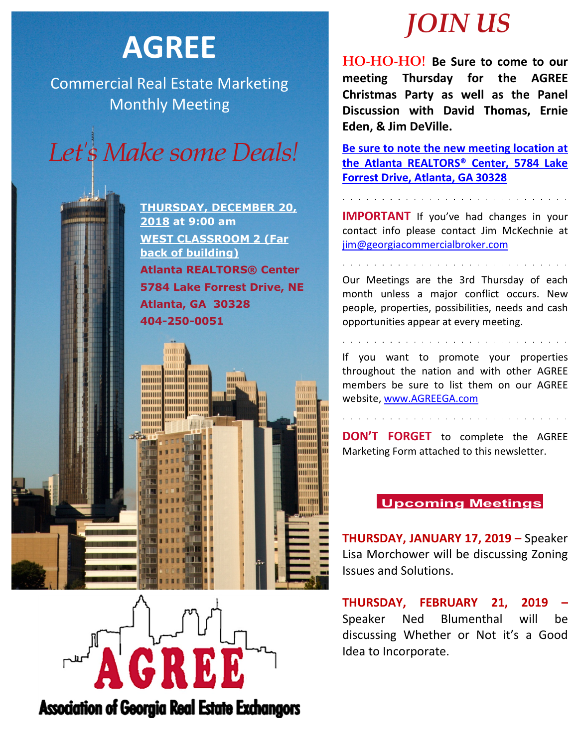# **AGREE**

Commercial Real Estate Marketing Monthly Meeting



**THURSDAY, DECEMBER 20, 2018 at 9:00 am WEST CLASSROOM 2 (Far back of building) Atlanta REALTORS® Center 5784 Lake Forrest Drive, NE Atlanta, GA 30328 404-250-0051**





**HO-HO-HO! Be Sure to come to our meeting Thursday for the AGREE Christmas Party as well as the Panel Discussion with David Thomas, Ernie Eden, & Jim DeVille.** 

**Be sure to note the new meeting location at the Atlanta REALTORS® Center, 5784 Lake Forrest Drive, Atlanta, GA 30328**

**IMPORTANT** If you've had changes in your contact info please contact Jim McKechnie at [jim@georgiacommercialbroker.com](mailto:jim@georgiacommercialbroker.com?subject=Changes%20to%20My%20Account)

Our Meetings are the 3rd Thursday of each month unless a major conflict occurs. New people, properties, possibilities, needs and cash opportunities appear at every meeting.

If you want to promote your properties throughout the nation and with other AGREE members be sure to list them on our AGREE website, www.AGREEGA.com

**DON'T FORGET** to complete the AGREE Marketing Form attached to this newsletter.

### **Upcoming Meetings**

**THURSDAY, JANUARY 17, 2019 –** Speaker Lisa Morchower will be discussing Zoning Issues and Solutions.

**THURSDAY, FEBRUARY 21, 2019 –** Speaker Ned Blumenthal will be discussing Whether or Not it's a Good Idea to Incorporate.

**Association of Georgia Real Estate Exchangors**